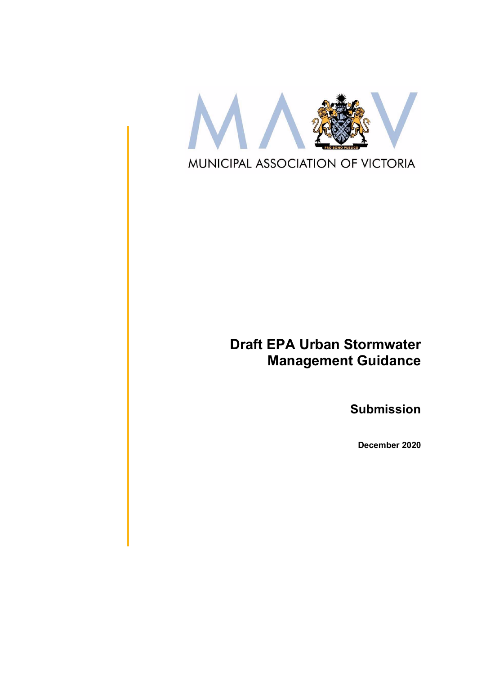

# Draft EPA Urban Stormwater Management Guidance

Submission

December 2020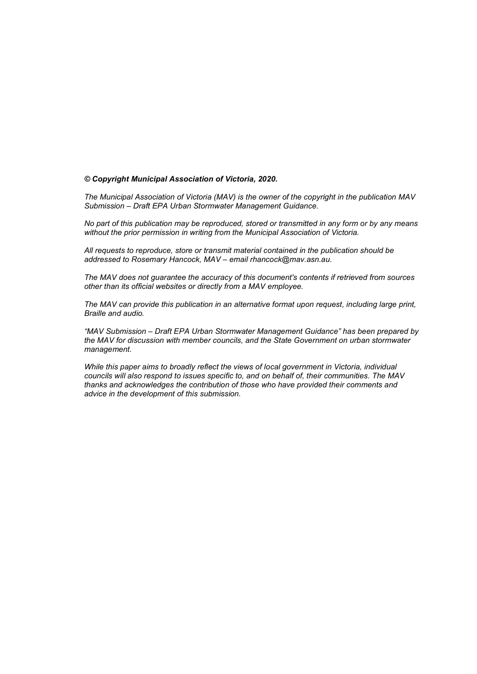#### © Copyright Municipal Association of Victoria, 2020.

The Municipal Association of Victoria (MAV) is the owner of the copyright in the publication MAV Submission – Draft EPA Urban Stormwater Management Guidance.

No part of this publication may be reproduced, stored or transmitted in any form or by any means without the prior permission in writing from the Municipal Association of Victoria.

All requests to reproduce, store or transmit material contained in the publication should be addressed to Rosemary Hancock, MAV – email rhancock@mav.asn.au.

The MAV does not guarantee the accuracy of this document's contents if retrieved from sources other than its official websites or directly from a MAV employee.

The MAV can provide this publication in an alternative format upon request, including large print, Braille and audio.

"MAV Submission – Draft EPA Urban Stormwater Management Guidance" has been prepared by the MAV for discussion with member councils, and the State Government on urban stormwater management.

While this paper aims to broadly reflect the views of local government in Victoria, individual councils will also respond to issues specific to, and on behalf of, their communities. The MAV thanks and acknowledges the contribution of those who have provided their comments and advice in the development of this submission.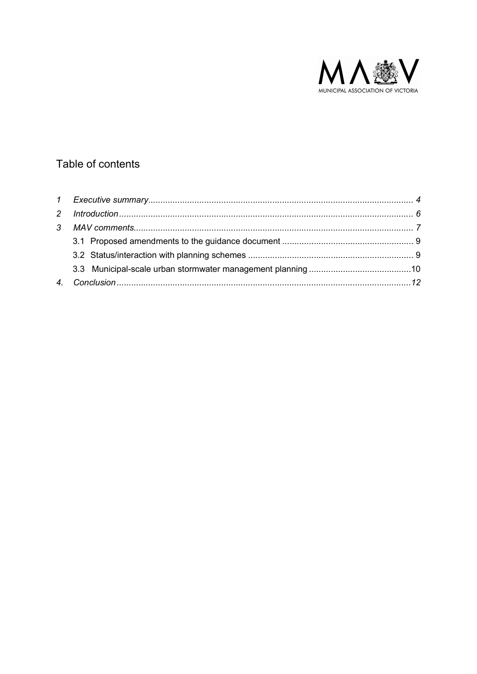

# Table of contents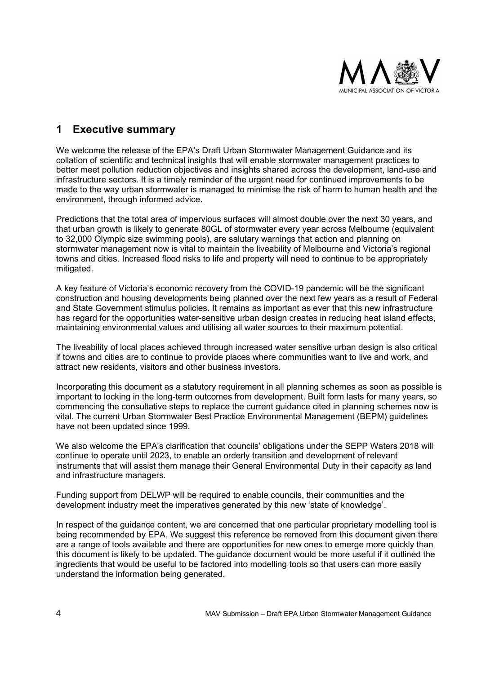

# 1 Executive summary

We welcome the release of the EPA's Draft Urban Stormwater Management Guidance and its collation of scientific and technical insights that will enable stormwater management practices to better meet pollution reduction objectives and insights shared across the development, land-use and infrastructure sectors. It is a timely reminder of the urgent need for continued improvements to be made to the way urban stormwater is managed to minimise the risk of harm to human health and the environment, through informed advice.

Predictions that the total area of impervious surfaces will almost double over the next 30 years, and that urban growth is likely to generate 80GL of stormwater every year across Melbourne (equivalent to 32,000 Olympic size swimming pools), are salutary warnings that action and planning on stormwater management now is vital to maintain the liveability of Melbourne and Victoria's regional towns and cities. Increased flood risks to life and property will need to continue to be appropriately mitigated.

A key feature of Victoria's economic recovery from the COVID-19 pandemic will be the significant construction and housing developments being planned over the next few years as a result of Federal and State Government stimulus policies. It remains as important as ever that this new infrastructure has regard for the opportunities water-sensitive urban design creates in reducing heat island effects, maintaining environmental values and utilising all water sources to their maximum potential.

The liveability of local places achieved through increased water sensitive urban design is also critical if towns and cities are to continue to provide places where communities want to live and work, and attract new residents, visitors and other business investors.

Incorporating this document as a statutory requirement in all planning schemes as soon as possible is important to locking in the long-term outcomes from development. Built form lasts for many years, so commencing the consultative steps to replace the current guidance cited in planning schemes now is vital. The current Urban Stormwater Best Practice Environmental Management (BEPM) guidelines have not been updated since 1999.

We also welcome the EPA's clarification that councils' obligations under the SEPP Waters 2018 will continue to operate until 2023, to enable an orderly transition and development of relevant instruments that will assist them manage their General Environmental Duty in their capacity as land and infrastructure managers.

Funding support from DELWP will be required to enable councils, their communities and the development industry meet the imperatives generated by this new 'state of knowledge'.

In respect of the guidance content, we are concerned that one particular proprietary modelling tool is being recommended by EPA. We suggest this reference be removed from this document given there are a range of tools available and there are opportunities for new ones to emerge more quickly than this document is likely to be updated. The guidance document would be more useful if it outlined the ingredients that would be useful to be factored into modelling tools so that users can more easily understand the information being generated.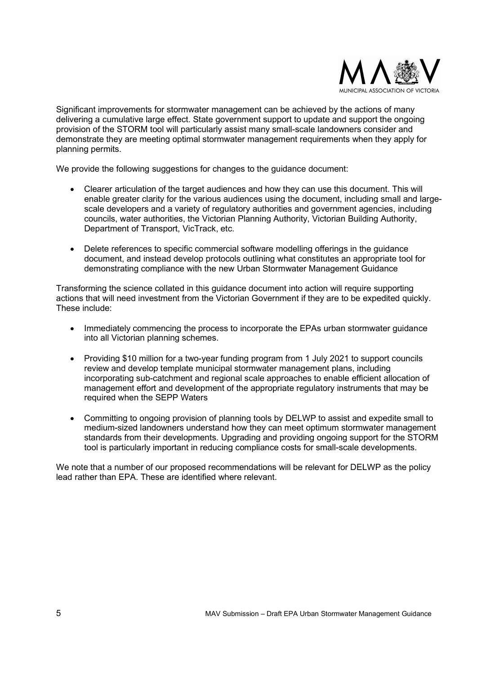

Significant improvements for stormwater management can be achieved by the actions of many delivering a cumulative large effect. State government support to update and support the ongoing provision of the STORM tool will particularly assist many small-scale landowners consider and demonstrate they are meeting optimal stormwater management requirements when they apply for planning permits.

We provide the following suggestions for changes to the guidance document:

- Clearer articulation of the target audiences and how they can use this document. This will enable greater clarity for the various audiences using the document, including small and largescale developers and a variety of regulatory authorities and government agencies, including councils, water authorities, the Victorian Planning Authority, Victorian Building Authority, Department of Transport, VicTrack, etc.
- Delete references to specific commercial software modelling offerings in the guidance document, and instead develop protocols outlining what constitutes an appropriate tool for demonstrating compliance with the new Urban Stormwater Management Guidance

Transforming the science collated in this guidance document into action will require supporting actions that will need investment from the Victorian Government if they are to be expedited quickly. These include:

- Immediately commencing the process to incorporate the EPAs urban stormwater guidance into all Victorian planning schemes.
- Providing \$10 million for a two-year funding program from 1 July 2021 to support councils review and develop template municipal stormwater management plans, including incorporating sub-catchment and regional scale approaches to enable efficient allocation of management effort and development of the appropriate regulatory instruments that may be required when the SEPP Waters
- Committing to ongoing provision of planning tools by DELWP to assist and expedite small to medium-sized landowners understand how they can meet optimum stormwater management standards from their developments. Upgrading and providing ongoing support for the STORM tool is particularly important in reducing compliance costs for small-scale developments.

We note that a number of our proposed recommendations will be relevant for DELWP as the policy lead rather than EPA. These are identified where relevant.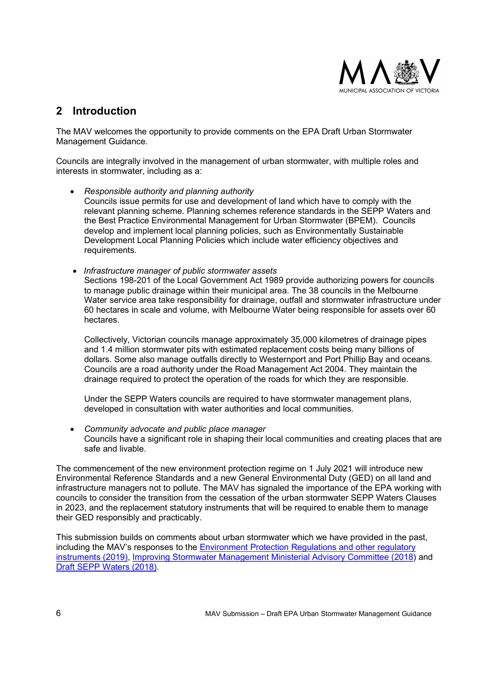

# 2 Introduction

The MAV welcomes the opportunity to provide comments on the EPA Draft Urban Stormwater Management Guidance.

Councils are integrally involved in the management of urban stormwater, with multiple roles and interests in stormwater, including as a:

- Responsible authority and planning authority Councils issue permits for use and development of land which have to comply with the relevant planning scheme. Planning schemes reference standards in the SEPP Waters and the Best Practice Environmental Management for Urban Stormwater (BPEM). Councils develop and implement local planning policies, such as Environmentally Sustainable Development Local Planning Policies which include water efficiency objectives and requirements.
- Infrastructure manager of public stormwater assets Sections 198-201 of the Local Government Act 1989 provide authorizing powers for councils to manage public drainage within their municipal area. The 38 councils in the Melbourne Water service area take responsibility for drainage, outfall and stormwater infrastructure under 60 hectares in scale and volume, with Melbourne Water being responsible for assets over 60 hectares.

Collectively, Victorian councils manage approximately 35,000 kilometres of drainage pipes and 1.4 million stormwater pits with estimated replacement costs being many billions of dollars. Some also manage outfalls directly to Westernport and Port Phillip Bay and oceans. Councils are a road authority under the Road Management Act 2004. They maintain the drainage required to protect the operation of the roads for which they are responsible.

Under the SEPP Waters councils are required to have stormwater management plans, developed in consultation with water authorities and local communities.

• Community advocate and public place manager Councils have a significant role in shaping their local communities and creating places that are safe and livable.

The commencement of the new environment protection regime on 1 July 2021 will introduce new Environmental Reference Standards and a new General Environmental Duty (GED) on all land and infrastructure managers not to pollute. The MAV has signaled the importance of the EPA working with councils to consider the transition from the cessation of the urban stormwater SEPP Waters Clauses in 2023, and the replacement statutory instruments that will be required to enable them to manage their GED responsibly and practicably.

This submission builds on comments about urban stormwater which we have provided in the past, including the MAV's responses to the Environment Protection Regulations and other regulatory instruments (2019), Improving Stormwater Management Ministerial Advisory Committee (2018) and Draft SEPP Waters (2018).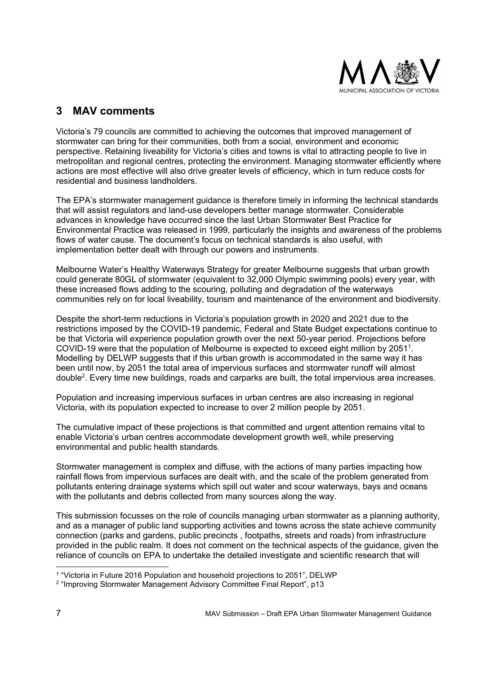

# 3 MAV comments

Victoria's 79 councils are committed to achieving the outcomes that improved management of stormwater can bring for their communities, both from a social, environment and economic perspective. Retaining liveability for Victoria's cities and towns is vital to attracting people to live in metropolitan and regional centres, protecting the environment. Managing stormwater efficiently where actions are most effective will also drive greater levels of efficiency, which in turn reduce costs for residential and business landholders.

The EPA's stormwater management guidance is therefore timely in informing the technical standards that will assist regulators and land-use developers better manage stormwater. Considerable advances in knowledge have occurred since the last Urban Stormwater Best Practice for Environmental Practice was released in 1999, particularly the insights and awareness of the problems flows of water cause. The document's focus on technical standards is also useful, with implementation better dealt with through our powers and instruments.

Melbourne Water's Healthy Waterways Strategy for greater Melbourne suggests that urban growth could generate 80GL of stormwater (equivalent to 32,000 Olympic swimming pools) every year, with these increased flows adding to the scouring, polluting and degradation of the waterways communities rely on for local liveability, tourism and maintenance of the environment and biodiversity.

Despite the short-term reductions in Victoria's population growth in 2020 and 2021 due to the restrictions imposed by the COVID-19 pandemic, Federal and State Budget expectations continue to be that Victoria will experience population growth over the next 50-year period. Projections before COVID-19 were that the population of Melbourne is expected to exceed eight million by 2051<sup>1</sup>. Modelling by DELWP suggests that if this urban growth is accommodated in the same way it has been until now, by 2051 the total area of impervious surfaces and stormwater runoff will almost double<sup>2</sup>. Every time new buildings, roads and carparks are built, the total impervious area increases.

Population and increasing impervious surfaces in urban centres are also increasing in regional Victoria, with its population expected to increase to over 2 million people by 2051.

The cumulative impact of these projections is that committed and urgent attention remains vital to enable Victoria's urban centres accommodate development growth well, while preserving environmental and public health standards.

Stormwater management is complex and diffuse, with the actions of many parties impacting how rainfall flows from impervious surfaces are dealt with, and the scale of the problem generated from pollutants entering drainage systems which spill out water and scour waterways, bays and oceans with the pollutants and debris collected from many sources along the way.

This submission focusses on the role of councils managing urban stormwater as a planning authority, and as a manager of public land supporting activities and towns across the state achieve community connection (parks and gardens, public precincts , footpaths, streets and roads) from infrastructure provided in the public realm. It does not comment on the technical aspects of the guidance, given the reliance of councils on EPA to undertake the detailed investigate and scientific research that will

<sup>1</sup> "Victoria in Future 2016 Population and household projections to 2051", DELWP

<sup>2</sup> "Improving Stormwater Management Advisory Committee Final Report", p13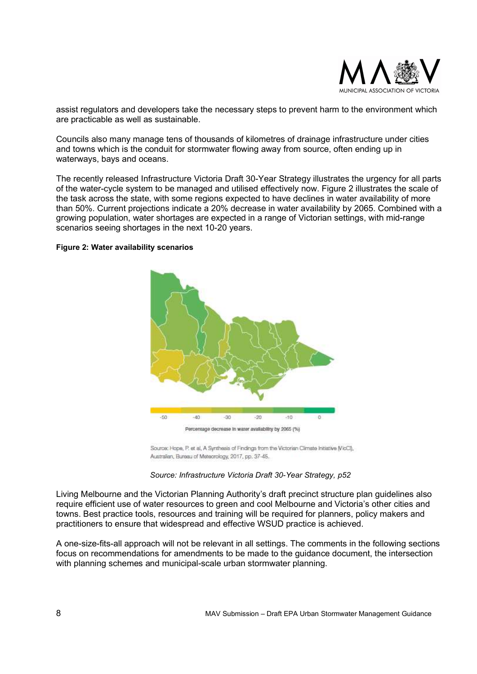

assist regulators and developers take the necessary steps to prevent harm to the environment which are practicable as well as sustainable.

Councils also many manage tens of thousands of kilometres of drainage infrastructure under cities and towns which is the conduit for stormwater flowing away from source, often ending up in waterways, bays and oceans.

The recently released Infrastructure Victoria Draft 30-Year Strategy illustrates the urgency for all parts of the water-cycle system to be managed and utilised effectively now. Figure 2 illustrates the scale of the task across the state, with some regions expected to have declines in water availability of more than 50%. Current projections indicate a 20% decrease in water availability by 2065. Combined with a growing population, water shortages are expected in a range of Victorian settings, with mid-range scenarios seeing shortages in the next 10-20 years.

#### Figure 2: Water availability scenarios



Source: Hope, P. et al, A Synthesis of Findings from the Victorian Climate Initiative (VicCl), Australian, Bureau of Meteorology, 2017, pp. 37-45.

### Source: Infrastructure Victoria Draft 30-Year Strategy, p52

Living Melbourne and the Victorian Planning Authority's draft precinct structure plan guidelines also require efficient use of water resources to green and cool Melbourne and Victoria's other cities and towns. Best practice tools, resources and training will be required for planners, policy makers and practitioners to ensure that widespread and effective WSUD practice is achieved.

A one-size-fits-all approach will not be relevant in all settings. The comments in the following sections focus on recommendations for amendments to be made to the guidance document, the intersection with planning schemes and municipal-scale urban stormwater planning.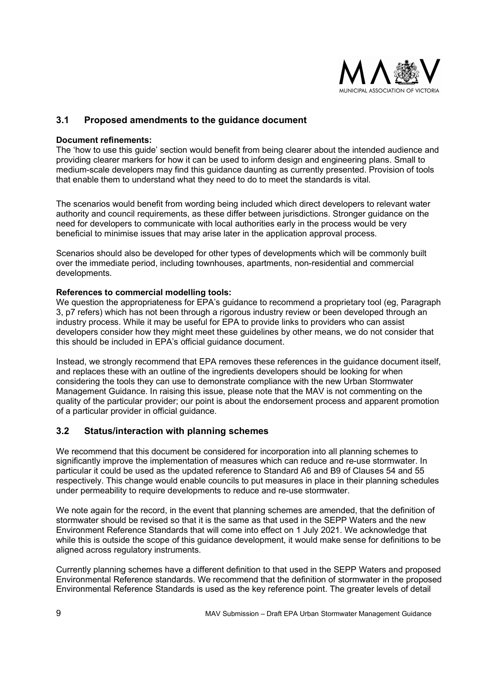

## 3.1 Proposed amendments to the guidance document

### Document refinements:

The 'how to use this guide' section would benefit from being clearer about the intended audience and providing clearer markers for how it can be used to inform design and engineering plans. Small to medium-scale developers may find this guidance daunting as currently presented. Provision of tools that enable them to understand what they need to do to meet the standards is vital.

The scenarios would benefit from wording being included which direct developers to relevant water authority and council requirements, as these differ between jurisdictions. Stronger guidance on the need for developers to communicate with local authorities early in the process would be very beneficial to minimise issues that may arise later in the application approval process.

Scenarios should also be developed for other types of developments which will be commonly built over the immediate period, including townhouses, apartments, non-residential and commercial developments.

### References to commercial modelling tools:

We question the appropriateness for EPA's quidance to recommend a proprietary tool (eq. Paragraph 3, p7 refers) which has not been through a rigorous industry review or been developed through an industry process. While it may be useful for EPA to provide links to providers who can assist developers consider how they might meet these guidelines by other means, we do not consider that this should be included in EPA's official guidance document.

Instead, we strongly recommend that EPA removes these references in the guidance document itself, and replaces these with an outline of the ingredients developers should be looking for when considering the tools they can use to demonstrate compliance with the new Urban Stormwater Management Guidance. In raising this issue, please note that the MAV is not commenting on the quality of the particular provider; our point is about the endorsement process and apparent promotion of a particular provider in official guidance.

### 3.2 Status/interaction with planning schemes

We recommend that this document be considered for incorporation into all planning schemes to significantly improve the implementation of measures which can reduce and re-use stormwater. In particular it could be used as the updated reference to Standard A6 and B9 of Clauses 54 and 55 respectively. This change would enable councils to put measures in place in their planning schedules under permeability to require developments to reduce and re-use stormwater.

We note again for the record, in the event that planning schemes are amended, that the definition of stormwater should be revised so that it is the same as that used in the SEPP Waters and the new Environment Reference Standards that will come into effect on 1 July 2021. We acknowledge that while this is outside the scope of this guidance development, it would make sense for definitions to be aligned across regulatory instruments.

Currently planning schemes have a different definition to that used in the SEPP Waters and proposed Environmental Reference standards. We recommend that the definition of stormwater in the proposed Environmental Reference Standards is used as the key reference point. The greater levels of detail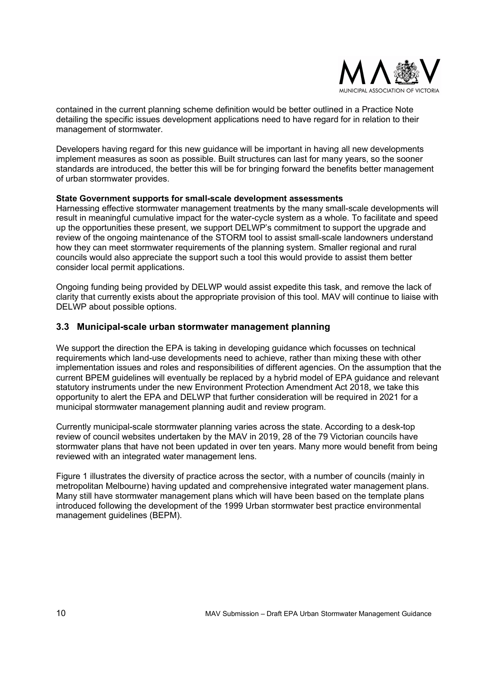

contained in the current planning scheme definition would be better outlined in a Practice Note detailing the specific issues development applications need to have regard for in relation to their management of stormwater.

Developers having regard for this new guidance will be important in having all new developments implement measures as soon as possible. Built structures can last for many years, so the sooner standards are introduced, the better this will be for bringing forward the benefits better management of urban stormwater provides.

### State Government supports for small-scale development assessments

Harnessing effective stormwater management treatments by the many small-scale developments will result in meaningful cumulative impact for the water-cycle system as a whole. To facilitate and speed up the opportunities these present, we support DELWP's commitment to support the upgrade and review of the ongoing maintenance of the STORM tool to assist small-scale landowners understand how they can meet stormwater requirements of the planning system. Smaller regional and rural councils would also appreciate the support such a tool this would provide to assist them better consider local permit applications.

Ongoing funding being provided by DELWP would assist expedite this task, and remove the lack of clarity that currently exists about the appropriate provision of this tool. MAV will continue to liaise with DELWP about possible options.

### 3.3 Municipal-scale urban stormwater management planning

We support the direction the EPA is taking in developing guidance which focusses on technical requirements which land-use developments need to achieve, rather than mixing these with other implementation issues and roles and responsibilities of different agencies. On the assumption that the current BPEM guidelines will eventually be replaced by a hybrid model of EPA guidance and relevant statutory instruments under the new Environment Protection Amendment Act 2018, we take this opportunity to alert the EPA and DELWP that further consideration will be required in 2021 for a municipal stormwater management planning audit and review program.

Currently municipal-scale stormwater planning varies across the state. According to a desk-top review of council websites undertaken by the MAV in 2019, 28 of the 79 Victorian councils have stormwater plans that have not been updated in over ten years. Many more would benefit from being reviewed with an integrated water management lens.

Figure 1 illustrates the diversity of practice across the sector, with a number of councils (mainly in metropolitan Melbourne) having updated and comprehensive integrated water management plans. Many still have stormwater management plans which will have been based on the template plans introduced following the development of the 1999 Urban stormwater best practice environmental management guidelines (BEPM).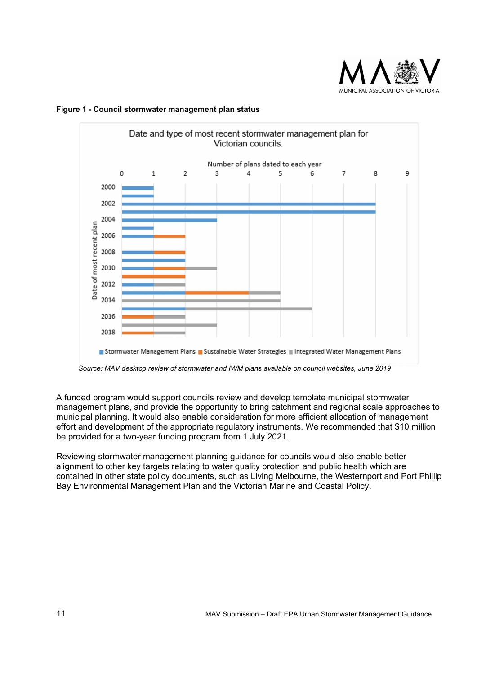



Figure 1 - Council stormwater management plan status

Source: MAV desktop review of stormwater and IWM plans available on council websites, June 2019

A funded program would support councils review and develop template municipal stormwater management plans, and provide the opportunity to bring catchment and regional scale approaches to municipal planning. It would also enable consideration for more efficient allocation of management effort and development of the appropriate regulatory instruments. We recommended that \$10 million be provided for a two-year funding program from 1 July 2021.

Reviewing stormwater management planning guidance for councils would also enable better alignment to other key targets relating to water quality protection and public health which are contained in other state policy documents, such as Living Melbourne, the Westernport and Port Phillip Bay Environmental Management Plan and the Victorian Marine and Coastal Policy.